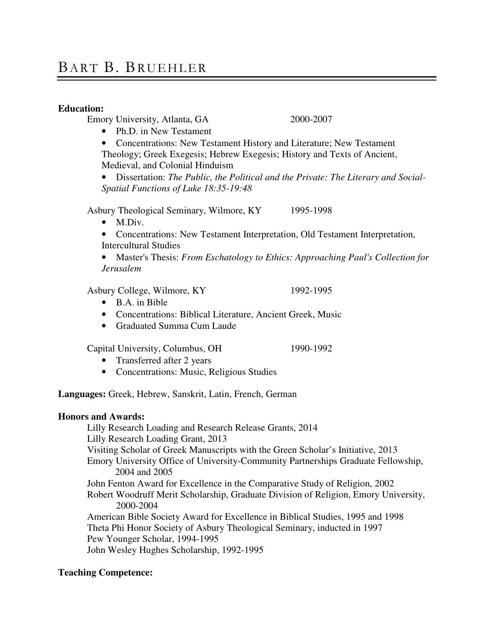# BART B. BRUEHLER

## **Education:**

Emory University, Atlanta, GA 2000-2007

- Ph.D. in New Testament
- Concentrations: New Testament History and Literature; New Testament

Theology; Greek Exegesis; Hebrew Exegesis; History and Texts of Ancient, Medieval, and Colonial Hinduism

• Dissertation: *The Public, the Political and the Private: The Literary and Social-Spatial Functions of Luke 18:35-19:48*

Asbury Theological Seminary, Wilmore, KY 1995-1998

- M.Div.
- Concentrations: New Testament Interpretation, Old Testament Interpretation, Intercultural Studies
- Master's Thesis: *From Eschatology to Ethics: Approaching Paul's Collection for Jerusalem*

Asbury College, Wilmore, KY 1992-1995

- B.A. in Bible
- Concentrations: Biblical Literature, Ancient Greek, Music
- Graduated Summa Cum Laude

Capital University, Columbus, OH 1990-1992

- Transferred after 2 years
- Concentrations: Music, Religious Studies

**Languages:** Greek, Hebrew, Sanskrit, Latin, French, German

## **Honors and Awards:**

Lilly Research Loading and Research Release Grants, 2014 Lilly Research Loading Grant, 2013 Visiting Scholar of Greek Manuscripts with the Green Scholar's Initiative, 2013 Emory University Office of University-Community Partnerships Graduate Fellowship, 2004 and 2005 John Fenton Award for Excellence in the Comparative Study of Religion, 2002 Robert Woodruff Merit Scholarship, Graduate Division of Religion, Emory University, 2000-2004 American Bible Society Award for Excellence in Biblical Studies, 1995 and 1998 Theta Phi Honor Society of Asbury Theological Seminary, inducted in 1997 Pew Younger Scholar, 1994-1995 John Wesley Hughes Scholarship, 1992-1995

# **Teaching Competence:**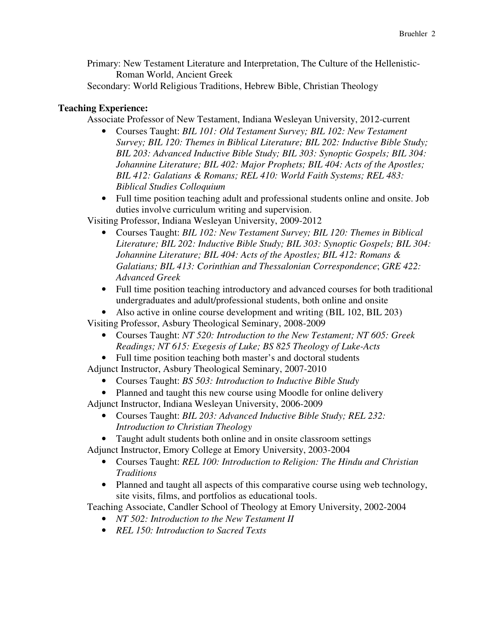Primary: New Testament Literature and Interpretation, The Culture of the Hellenistic-Roman World, Ancient Greek

Secondary: World Religious Traditions, Hebrew Bible, Christian Theology

# **Teaching Experience:**

Associate Professor of New Testament, Indiana Wesleyan University, 2012-current

- Courses Taught: *BIL 101: Old Testament Survey; BIL 102: New Testament Survey; BIL 120: Themes in Biblical Literature; BIL 202: Inductive Bible Study; BIL 203: Advanced Inductive Bible Study; BIL 303: Synoptic Gospels; BIL 304: Johannine Literature; BIL 402: Major Prophets; BIL 404: Acts of the Apostles; BIL 412: Galatians & Romans; REL 410: World Faith Systems; REL 483: Biblical Studies Colloquium*
- Full time position teaching adult and professional students online and onsite. Job duties involve curriculum writing and supervision.

Visiting Professor, Indiana Wesleyan University, 2009-2012

- Courses Taught: *BIL 102: New Testament Survey; BIL 120: Themes in Biblical Literature; BIL 202: Inductive Bible Study; BIL 303: Synoptic Gospels; BIL 304: Johannine Literature; BIL 404: Acts of the Apostles; BIL 412: Romans & Galatians; BIL 413: Corinthian and Thessalonian Correspondence*; *GRE 422: Advanced Greek*
- Full time position teaching introductory and advanced courses for both traditional undergraduates and adult/professional students, both online and onsite
- Also active in online course development and writing (BIL 102, BIL 203)

Visiting Professor, Asbury Theological Seminary, 2008-2009

• Courses Taught: *NT 520: Introduction to the New Testament; NT 605: Greek Readings; NT 615: Exegesis of Luke; BS 825 Theology of Luke-Acts*

• Full time position teaching both master's and doctoral students

- Adjunct Instructor, Asbury Theological Seminary, 2007-2010
	- Courses Taught: *BS 503: Introduction to Inductive Bible Study*
	- Planned and taught this new course using Moodle for online delivery

Adjunct Instructor, Indiana Wesleyan University, 2006-2009

- Courses Taught: *BIL 203: Advanced Inductive Bible Study; REL 232: Introduction to Christian Theology*
- Taught adult students both online and in onsite classroom settings
- Adjunct Instructor, Emory College at Emory University, 2003-2004
	- Courses Taught: *REL 100: Introduction to Religion: The Hindu and Christian Traditions*
	- Planned and taught all aspects of this comparative course using web technology, site visits, films, and portfolios as educational tools.

Teaching Associate, Candler School of Theology at Emory University, 2002-2004

- *NT 502: Introduction to the New Testament II*
- *REL 150: Introduction to Sacred Texts*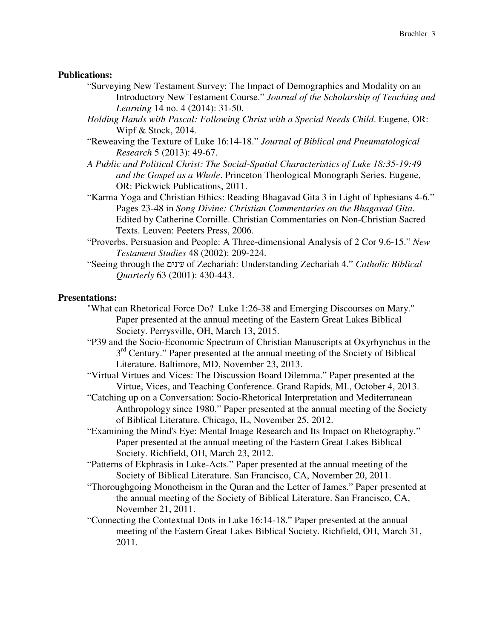## **Publications:**

- "Surveying New Testament Survey: The Impact of Demographics and Modality on an Introductory New Testament Course." *Journal of the Scholarship of Teaching and Learning* 14 no. 4 (2014): 31-50.
- *Holding Hands with Pascal: Following Christ with a Special Needs Child*. Eugene, OR: Wipf & Stock, 2014.
- "Reweaving the Texture of Luke 16:14-18." *Journal of Biblical and Pneumatological Research* 5 (2013): 49-67.
- *A Public and Political Christ: The Social-Spatial Characteristics of Luke 18:35-19:49 and the Gospel as a Whole*. Princeton Theological Monograph Series. Eugene, OR: Pickwick Publications, 2011.
- "Karma Yoga and Christian Ethics: Reading Bhagavad Gita 3 in Light of Ephesians 4-6." Pages 23-48 in *Song Divine: Christian Commentaries on the Bhagavad Gita*. Edited by Catherine Cornille. Christian Commentaries on Non-Christian Sacred Texts. Leuven: Peeters Press, 2006.
- "Proverbs, Persuasion and People: A Three-dimensional Analysis of 2 Cor 9.6-15." *New Testament Studies* 48 (2002): 209-224.
- "Seeing through the עינים of Zechariah: Understanding Zechariah 4." *Catholic Biblical Quarterly* 63 (2001): 430-443.

## **Presentations:**

- "What can Rhetorical Force Do? Luke 1:26-38 and Emerging Discourses on Mary." Paper presented at the annual meeting of the Eastern Great Lakes Biblical Society. Perrysville, OH, March 13, 2015.
- "P39 and the Socio-Economic Spectrum of Christian Manuscripts at Oxyrhynchus in the 3<sup>rd</sup> Century." Paper presented at the annual meeting of the Society of Biblical Literature. Baltimore, MD, November 23, 2013.
- "Virtual Virtues and Vices: The Discussion Board Dilemma." Paper presented at the Virtue, Vices, and Teaching Conference. Grand Rapids, MI., October 4, 2013.
- "Catching up on a Conversation: Socio-Rhetorical Interpretation and Mediterranean Anthropology since 1980." Paper presented at the annual meeting of the Society of Biblical Literature. Chicago, IL, November 25, 2012.
- "Examining the Mind's Eye: Mental Image Research and Its Impact on Rhetography." Paper presented at the annual meeting of the Eastern Great Lakes Biblical Society. Richfield, OH, March 23, 2012.
- "Patterns of Ekphrasis in Luke-Acts." Paper presented at the annual meeting of the Society of Biblical Literature. San Francisco, CA, November 20, 2011.
- "Thoroughgoing Monotheism in the Quran and the Letter of James." Paper presented at the annual meeting of the Society of Biblical Literature. San Francisco, CA, November 21, 2011.
- "Connecting the Contextual Dots in Luke 16:14-18." Paper presented at the annual meeting of the Eastern Great Lakes Biblical Society. Richfield, OH, March 31, 2011.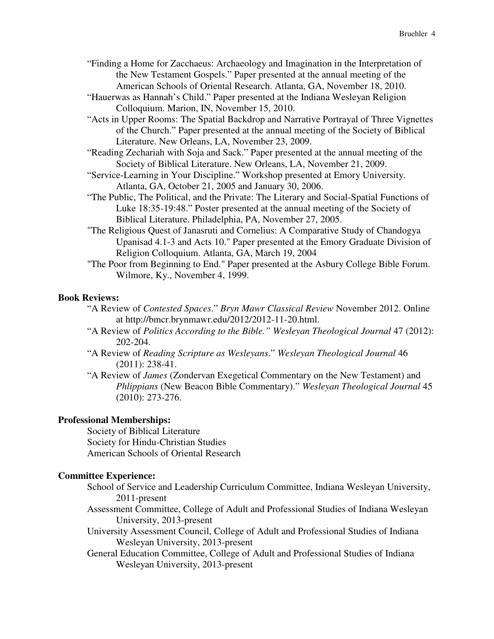- "Finding a Home for Zacchaeus: Archaeology and Imagination in the Interpretation of the New Testament Gospels." Paper presented at the annual meeting of the American Schools of Oriental Research. Atlanta, GA, November 18, 2010.
- "Hauerwas as Hannah's Child." Paper presented at the Indiana Wesleyan Religion Colloquium. Marion, IN, November 15, 2010.
- "Acts in Upper Rooms: The Spatial Backdrop and Narrative Portrayal of Three Vignettes of the Church." Paper presented at the annual meeting of the Society of Biblical Literature. New Orleans, LA, November 23, 2009.
- "Reading Zechariah with Soja and Sack." Paper presented at the annual meeting of the Society of Biblical Literature. New Orleans, LA, November 21, 2009.
- "Service-Learning in Your Discipline." Workshop presented at Emory University. Atlanta, GA, October 21, 2005 and January 30, 2006.
- "The Public, The Political, and the Private: The Literary and Social-Spatial Functions of Luke 18:35-19:48." Poster presented at the annual meeting of the Society of Biblical Literature. Philadelphia, PA, November 27, 2005.
- "The Religious Quest of Janasruti and Cornelius: A Comparative Study of Chandogya Upanisad 4.1-3 and Acts 10." Paper presented at the Emory Graduate Division of Religion Colloquium. Atlanta, GA, March 19, 2004
- "The Poor from Beginning to End." Paper presented at the Asbury College Bible Forum. Wilmore, Ky., November 4, 1999.

# **Book Reviews:**

- "A Review of *Contested Spaces*." *Bryn Mawr Classical Review* November 2012. Online at http://bmcr.brynmawr.edu/2012/2012-11-20.html.
- "A Review of *Politics According to the Bible." Wesleyan Theological Journal* 47 (2012): 202-204.
- "A Review of *Reading Scripture as Wesleyans*." *Wesleyan Theological Journal* 46 (2011): 238-41.
- "A Review of *James* (Zondervan Exegetical Commentary on the New Testament) and *Phlippians* (New Beacon Bible Commentary)." *Wesleyan Theological Journal* 45 (2010): 273-276.

# **Professional Memberships:**

Society of Biblical Literature Society for Hindu-Christian Studies American Schools of Oriental Research

# **Committee Experience:**

School of Service and Leadership Curriculum Committee, Indiana Wesleyan University, 2011-present

- Assessment Committee, College of Adult and Professional Studies of Indiana Wesleyan University, 2013-present
- University Assessment Council, College of Adult and Professional Studies of Indiana Wesleyan University, 2013-present
- General Education Committee, College of Adult and Professional Studies of Indiana Wesleyan University, 2013-present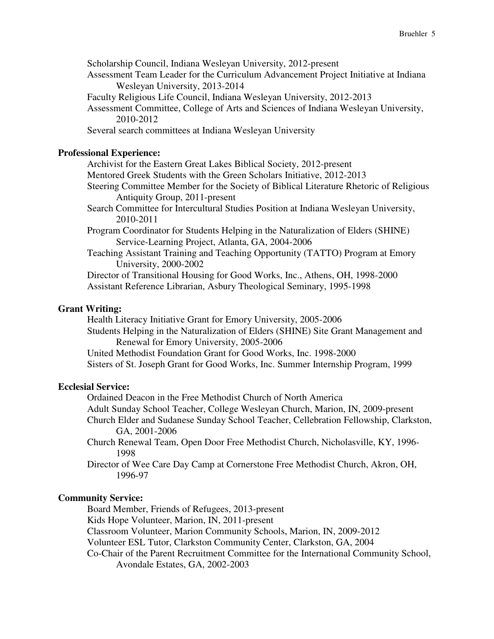Scholarship Council, Indiana Wesleyan University, 2012-present

- Assessment Team Leader for the Curriculum Advancement Project Initiative at Indiana Wesleyan University, 2013-2014
- Faculty Religious Life Council, Indiana Wesleyan University, 2012-2013
- Assessment Committee, College of Arts and Sciences of Indiana Wesleyan University, 2010-2012
- Several search committees at Indiana Wesleyan University

## **Professional Experience:**

Archivist for the Eastern Great Lakes Biblical Society, 2012-present

- Mentored Greek Students with the Green Scholars Initiative, 2012-2013
- Steering Committee Member for the Society of Biblical Literature Rhetoric of Religious Antiquity Group, 2011-present
- Search Committee for Intercultural Studies Position at Indiana Wesleyan University, 2010-2011
- Program Coordinator for Students Helping in the Naturalization of Elders (SHINE) Service-Learning Project, Atlanta, GA, 2004-2006
- Teaching Assistant Training and Teaching Opportunity (TATTO) Program at Emory University, 2000-2002

Director of Transitional Housing for Good Works, Inc., Athens, OH, 1998-2000 Assistant Reference Librarian, Asbury Theological Seminary, 1995-1998

### **Grant Writing:**

Health Literacy Initiative Grant for Emory University, 2005-2006 Students Helping in the Naturalization of Elders (SHINE) Site Grant Management and Renewal for Emory University, 2005-2006 United Methodist Foundation Grant for Good Works, Inc. 1998-2000

Sisters of St. Joseph Grant for Good Works, Inc. Summer Internship Program, 1999

# **Ecclesial Service:**

Ordained Deacon in the Free Methodist Church of North America

- Adult Sunday School Teacher, College Wesleyan Church, Marion, IN, 2009-present Church Elder and Sudanese Sunday School Teacher, Cellebration Fellowship, Clarkston,
- GA, 2001-2006
- Church Renewal Team, Open Door Free Methodist Church, Nicholasville, KY, 1996- 1998
- Director of Wee Care Day Camp at Cornerstone Free Methodist Church, Akron, OH, 1996-97

#### **Community Service:**

Board Member, Friends of Refugees, 2013-present

Kids Hope Volunteer, Marion, IN, 2011-present

Classroom Volunteer, Marion Community Schools, Marion, IN, 2009-2012

Volunteer ESL Tutor, Clarkston Community Center, Clarkston, GA, 2004

Co-Chair of the Parent Recruitment Committee for the International Community School, Avondale Estates, GA, 2002-2003